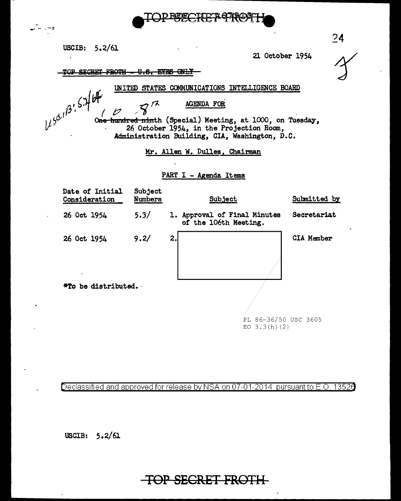

USCIB: 5.2/61

21 October 1954

TOP SECRET FROTH - U.S. EYES ONLY

UNITED STATES COMMUNICATIONS INTELLIGENCE BOARD

AGENDA FOR

 $452^{1/36}$  5.7/64

وبالراز

One hundred ninth (Special) Meeting, at 1000, on Tuesday, 26 October 1954, in the Projection Room, Administration Building, CIA, Washington, D.C.

Mr. Allen W. Dulles. Chairman

### PART I - Agenda Items



Declassified and approved for release by NSA on 07-01-2014 pursuant to E.O. 13526

USCIB:  $5.2/61$ 

# TOP SECRET FROTH